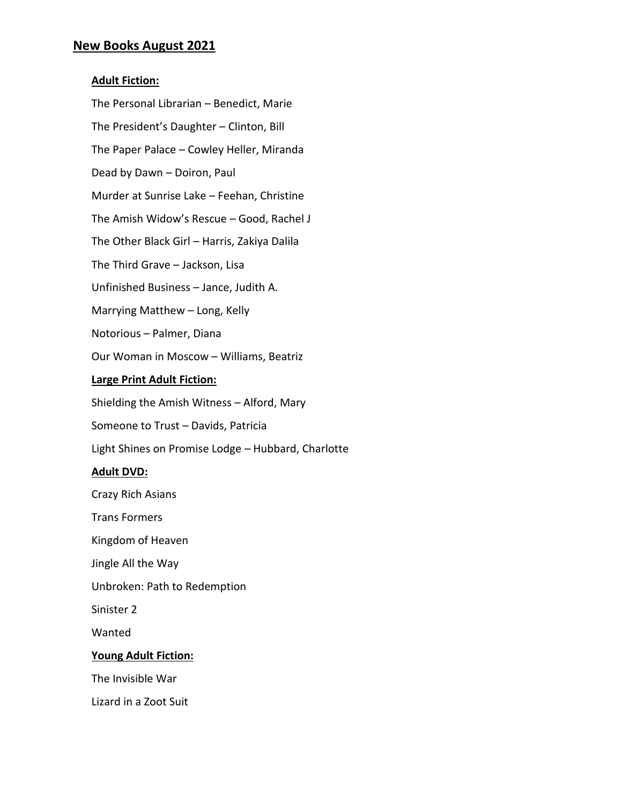## **New Books August 2021**

## **Adult Fiction:**

The Personal Librarian – Benedict, Marie The President's Daughter – Clinton, Bill The Paper Palace – Cowley Heller, Miranda Dead by Dawn – Doiron, Paul Murder at Sunrise Lake – Feehan, Christine The Amish Widow's Rescue – Good, Rachel J The Other Black Girl – Harris, Zakiya Dalila The Third Grave – Jackson, Lisa Unfinished Business – Jance, Judith A. Marrying Matthew – Long, Kelly Notorious – Palmer, Diana Our Woman in Moscow – Williams, Beatriz **Large Print Adult Fiction:** Shielding the Amish Witness – Alford, Mary

Someone to Trust – Davids, Patricia

Light Shines on Promise Lodge – Hubbard, Charlotte

### **Adult DVD:**

Crazy Rich Asians

Trans Formers

Kingdom of Heaven

Jingle All the Way

Unbroken: Path to Redemption

Sinister 2

Wanted

### **Young Adult Fiction:**

The Invisible War

Lizard in a Zoot Suit